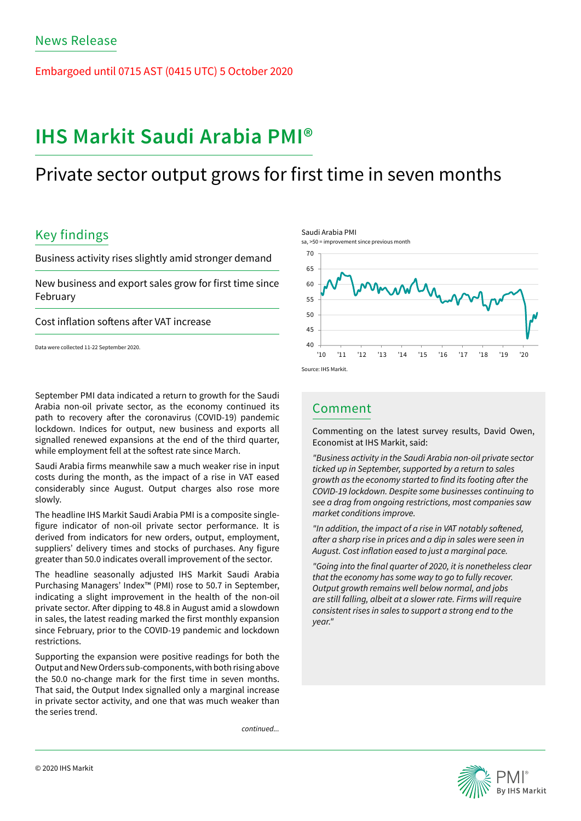Embargoed until 0715 AST (0415 UTC) 5 October 2020

# **IHS Markit Saudi Arabia PMI®**

## Private sector output grows for first time in seven months

## Key findings

Business activity rises slightly amid stronger demand

New business and export sales grow for first time since February

Cost inflation softens after VAT increase

Data were collected 11-22 September 2020.

September PMI data indicated a return to growth for the Saudi Arabia non-oil private sector, as the economy continued its path to recovery after the coronavirus (COVID-19) pandemic lockdown. Indices for output, new business and exports all signalled renewed expansions at the end of the third quarter, while employment fell at the softest rate since March.

Saudi Arabia firms meanwhile saw a much weaker rise in input costs during the month, as the impact of a rise in VAT eased considerably since August. Output charges also rose more slowly.

The headline IHS Markit Saudi Arabia PMI is a composite singlefigure indicator of non-oil private sector performance. It is derived from indicators for new orders, output, employment, suppliers' delivery times and stocks of purchases. Any figure greater than 50.0 indicates overall improvement of the sector.

The headline seasonally adjusted IHS Markit Saudi Arabia Purchasing Managers' Index™ (PMI) rose to 50.7 in September, indicating a slight improvement in the health of the non-oil private sector. After dipping to 48.8 in August amid a slowdown in sales, the latest reading marked the first monthly expansion since February, prior to the COVID-19 pandemic and lockdown restrictions.

Supporting the expansion were positive readings for both the Output and New Orders sub-components, with both rising above the 50.0 no-change mark for the first time in seven months. That said, the Output Index signalled only a marginal increase in private sector activity, and one that was much weaker than the series trend.

*continued...*



### Comment

Commenting on the latest survey results, David Owen, Economist at IHS Markit, said:

*"Business activity in the Saudi Arabia non-oil private sector ticked up in September, supported by a return to sales*  growth as the economy started to find its footing after the *COVID-19 lockdown. Despite some businesses continuing to*  see a drag from ongoing restrictions, most companies saw *market conditions improve.* 

"In addition, the impact of a rise in VAT notably softened, after a sharp rise in prices and a dip in sales were seen in August. Cost inflation eased to just a marginal pace.

"Going into the final quarter of 2020, it is nonetheless clear that the economy has some way to go to fully recover. Output growth remains well below normal, and jobs are still falling, albeit at a slower rate. Firms will require *consistent rises in sales to support a strong end to the year."*